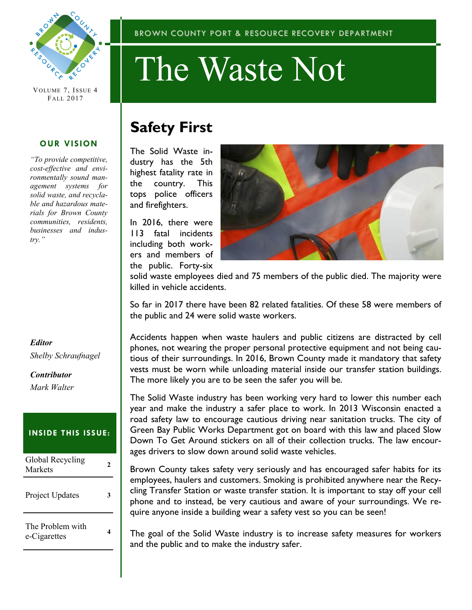

VOLUME 7, ISSUE 4 FALL 2017

#### **OUR VISION**

*"To provide competitive, cost-effective and environmentally sound management systems for solid waste, and recyclable and hazardous materials for Brown County communities, residents, businesses and industry."*

#### *Editor*

*Shelby Schraufnagel*

### *Contributor Mark Walter*

#### **INSIDE THIS ISSUE:**

| Global Recycling<br>Markets      |  |
|----------------------------------|--|
| Project Updates                  |  |
| The Problem with<br>e-Cigarettes |  |

#### BROWN COUNTY PORT & RESOURCE RECOVERY DEPARTMENT

# The Waste Not

## **Safety First**

The Solid Waste industry has the 5th highest fatality rate in the country. This tops police officers and firefighters.

In 2016, there were 113 fatal incidents including both workers and members of the public. Forty-six



solid waste employees died and 75 members of the public died. The majority were killed in vehicle accidents.

So far in 2017 there have been 82 related fatalities. Of these 58 were members of the public and 24 were solid waste workers.

Accidents happen when waste haulers and public citizens are distracted by cell phones, not wearing the proper personal protective equipment and not being cautious of their surroundings. In 2016, Brown County made it mandatory that safety vests must be worn while unloading material inside our transfer station buildings. The more likely you are to be seen the safer you will be.

The Solid Waste industry has been working very hard to lower this number each year and make the industry a safer place to work. In 2013 Wisconsin enacted a road safety law to encourage cautious driving near sanitation trucks. The city of Green Bay Public Works Department got on board with this law and placed Slow Down To Get Around stickers on all of their collection trucks. The law encourages drivers to slow down around solid waste vehicles.

Brown County takes safety very seriously and has encouraged safer habits for its employees, haulers and customers. Smoking is prohibited anywhere near the Recycling Transfer Station or waste transfer station. It is important to stay off your cell phone and to instead, be very cautious and aware of your surroundings. We require anyone inside a building wear a safety vest so you can be seen!

The goal of the Solid Waste industry is to increase safety measures for workers and the public and to make the industry safer.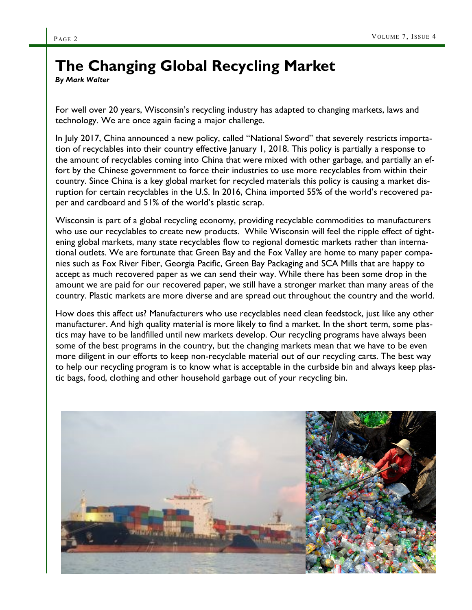## **The Changing Global Recycling Market**

*By Mark Walter*

For well over 20 years, Wisconsin's recycling industry has adapted to changing markets, laws and technology. We are once again facing a major challenge.

In July 2017, China announced a new policy, called "National Sword" that severely restricts importation of recyclables into their country effective January 1, 2018. This policy is partially a response to the amount of recyclables coming into China that were mixed with other garbage, and partially an effort by the Chinese government to force their industries to use more recyclables from within their country. Since China is a key global market for recycled materials this policy is causing a market disruption for certain recyclables in the U.S. In 2016, China imported 55% of the world's recovered paper and cardboard and 51% of the world's plastic scrap.

Wisconsin is part of a global recycling economy, providing recyclable commodities to manufacturers who use our recyclables to create new products. While Wisconsin will feel the ripple effect of tightening global markets, many state recyclables flow to regional domestic markets rather than international outlets. We are fortunate that Green Bay and the Fox Valley are home to many paper companies such as Fox River Fiber, Georgia Pacific, Green Bay Packaging and SCA Mills that are happy to accept as much recovered paper as we can send their way. While there has been some drop in the amount we are paid for our recovered paper, we still have a stronger market than many areas of the country. Plastic markets are more diverse and are spread out throughout the country and the world.

How does this affect us? Manufacturers who use recyclables need clean feedstock, just like any other manufacturer. And high quality material is more likely to find a market. In the short term, some plastics may have to be landfilled until new markets develop. Our recycling programs have always been some of the best programs in the country, but the changing markets mean that we have to be even more diligent in our efforts to keep non-recyclable material out of our recycling carts. The best way to help our recycling program is to know what is acceptable in the curbside bin and always keep plastic bags, food, clothing and other household garbage out of your recycling bin.

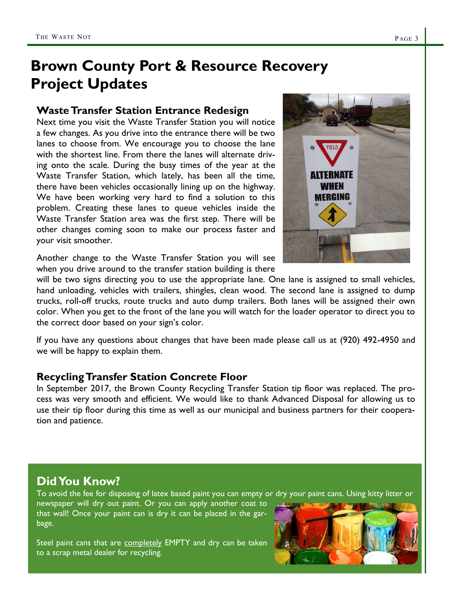## **Brown County Port & Resource Recovery Project Updates**

### **Waste Transfer Station Entrance Redesign**

Next time you visit the Waste Transfer Station you will notice a few changes. As you drive into the entrance there will be two lanes to choose from. We encourage you to choose the lane with the shortest line. From there the lanes will alternate driving onto the scale. During the busy times of the year at the Waste Transfer Station, which lately, has been all the time, there have been vehicles occasionally lining up on the highway. We have been working very hard to find a solution to this problem. Creating these lanes to queue vehicles inside the Waste Transfer Station area was the first step. There will be other changes coming soon to make our process faster and your visit smoother.



Another change to the Waste Transfer Station you will see when you drive around to the transfer station building is there

will be two signs directing you to use the appropriate lane. One lane is assigned to small vehicles, hand unloading, vehicles with trailers, shingles, clean wood. The second lane is assigned to dump trucks, roll-off trucks, route trucks and auto dump trailers. Both lanes will be assigned their own color. When you get to the front of the lane you will watch for the loader operator to direct you to the correct door based on your sign's color.

If you have any questions about changes that have been made please call us at (920) 492-4950 and we will be happy to explain them.

## **Recycling Transfer Station Concrete Floor**

In September 2017, the Brown County Recycling Transfer Station tip floor was replaced. The process was very smooth and efficient. We would like to thank Advanced Disposal for allowing us to use their tip floor during this time as well as our municipal and business partners for their cooperation and patience.

## **Did You Know?**

bage.

To avoid the fee for disposing of latex based paint you can empty or dry your paint cans. Using kitty litter or newspaper will dry out paint. Or you can apply another coat to that wall! Once your paint can is dry it can be placed in the gar-

Steel paint cans that are completely EMPTY and dry can be taken to a scrap metal dealer for recycling.